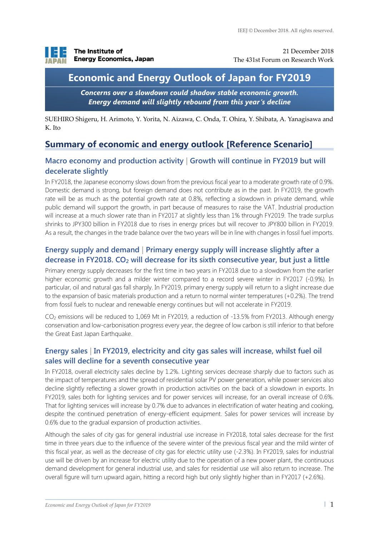

21 December 2018 The 431st Forum on Research Work

# **Economic and Energy Outlook of Japan for FY2019**

*Concerns over a slowdown could shadow stable economic growth. Energy demand will slightly rebound from this year's decline*

SUEHIRO Shigeru, H. Arimoto, Y. Yorita, N. Aizawa, C. Onda, T. Ohira, Y. Shibata, A. Yanagisawa and K. Ito

## **Summary of economic and energy outlook [Reference Scenario]**

#### **Macro economy and production activity | Growth will continue in FY2019 but will decelerate slightly**

In FY2018, the Japanese economy slows down from the previous fiscal year to a moderate growth rate of 0.9%. Domestic demand is strong, but foreign demand does not contribute as in the past. In FY2019, the growth rate will be as much as the potential growth rate at 0.8%, reflecting a slowdown in private demand, while public demand will support the growth, in part because of measures to raise the VAT. Industrial production will increase at a much slower rate than in FY2017 at slightly less than 1% through FY2019. The trade surplus shrinks to JPY300 billion in FY2018 due to rises in energy prices but will recover to JPY800 billion in FY2019. As a result, the changes in the trade balance over the two years will be in line with changes in fossil fuel imports.

#### **Energy supply and demand | Primary energy supply will increase slightly after a decrease in FY2018. CO<sup>2</sup> will decrease for its sixth consecutive year, but just a little**

Primary energy supply decreases for the first time in two years in FY2018 due to a slowdown from the earlier higher economic growth and a milder winter compared to a record severe winter in FY2017 (-0.9%). In particular, oil and natural gas fall sharply. In FY2019, primary energy supply will return to a slight increase due to the expansion of basic materials production and a return to normal winter temperatures (+0.2%). The trend from fossil fuels to nuclear and renewable energy continues but will not accelerate in FY2019.

CO<sup>2</sup> emissions will be reduced to 1,069 Mt in FY2019, a reduction of -13.5% from FY2013. Although energy conservation and low-carbonisation progress every year, the degree of low carbon is still inferior to that before the Great East Japan Earthquake.

### **Energy sales | In FY2019, electricity and city gas sales will increase, whilst fuel oil sales will decline for a seventh consecutive year**

In FY2018, overall electricity sales decline by 1.2%. Lighting services decrease sharply due to factors such as the impact of temperatures and the spread of residential solar PV power generation, while power services also decline slightly reflecting a slower growth in production activities on the back of a slowdown in exports. In FY2019, sales both for lighting services and for power services will increase, for an overall increase of 0.6%. That for lighting services will increase by 0.7% due to advances in electrification of water heating and cooking, despite the continued penetration of energy-efficient equipment. Sales for power services will increase by 0.6% due to the gradual expansion of production activities.

Although the sales of city gas for general industrial use increase in FY2018, total sales decrease for the first time in three years due to the influence of the severe winter of the previous fiscal year and the mild winter of this fiscal year, as well as the decrease of city gas for electric utility use (-2.3%). In FY2019, sales for industrial use will be driven by an increase for electric utility due to the operation of a new power plant, the continuous demand development for general industrial use, and sales for residential use will also return to increase. The overall figure will turn upward again, hitting a record high but only slightly higher than in FY2017 (+2.6%).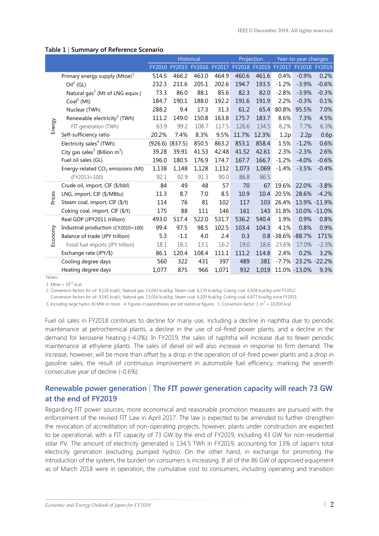#### **Table 1 | Summary of Reference Scenario**

|         |                                              | <b>Historical</b>   |        |                      |       | Projection    |       | Year-to-year changes |               |               |
|---------|----------------------------------------------|---------------------|--------|----------------------|-------|---------------|-------|----------------------|---------------|---------------|
|         |                                              | FY2010              |        | FY2015 FY2016 FY2017 |       | FY2018 FY2019 |       | FY2017               | <b>FY2018</b> | FY2019        |
| Energy  | Primary energy supply $(Mtoe)^1$             | 514.5               | 466.2  | 463.0                | 464.9 | 460.6         | 461.6 | 0.4%                 | $-0.9%$       | 0.2%          |
|         | $Oil2$ (GL)                                  | 232.3               | 211.6  | 205.1                | 202.6 | 194.7         | 193.5 | $-1.2%$              | $-3.9%$       | $-0.6%$       |
|         | Natural gas <sup>2</sup> (Mt of LNG equiv.)  | 73.3                | 86.0   | 88.1                 | 85.6  | 82.3          | 82.0  | $-2.8%$              | $-3.9%$       | $-0.3%$       |
|         | Coal <sup>2</sup> (Mt)                       | 184.7               | 190.1  | 188.0                | 192.2 | 191.6         | 191.9 | 2.2%                 | $-0.3%$       | 0.1%          |
|         | Nuclear (TWh)                                | 288.2               | 9.4    | 17.3                 | 31.3  | 61.2          | 65.4  | 80.8%                | 95.5%         | 7.0%          |
|         | Renewable electricity <sup>3</sup> (TWh)     | 111.2               | 149.0  | 150.8                | 163.8 | 175.7         | 183.7 | 8.6%                 | 7.3%          | 4.5%          |
|         | FIT generation (TWh)                         | 63.9                | 99.2   | 108.7                | 117.5 | 126.6         | 134.5 | 8.2%                 | 7.7%          | 6.3%          |
|         | Self-sufficiency ratio                       | 20.2%               | 7.4%   | 8.3%                 | 9.5%  | 11.7%         | 12.3% | 1.2p                 | 2.2p          | 0.6p          |
|         | Electricity sales <sup>4</sup> (TWh)         | $(926.6)$ $(837.5)$ |        | 850.5                | 863.2 | 853.1         | 858.4 | 1.5%                 | $-1.2%$       | 0.6%          |
|         | City gas sales <sup>5</sup> (Billion $m^3$ ) | 39.28               | 39.91  | 41.53                | 42.48 | 41.52         | 42.61 | 2.3%                 | $-2.3%$       | 2.6%          |
|         | Fuel oil sales (GL)                          | 196.0               | 180.5  | 176.9                | 174.7 | 167.7         | 166.7 | $-1.2%$              | $-4.0%$       | $-0.6%$       |
|         | Energy-related $CO2$ emissions (Mt)          | 1,138               | 1,148  | 1,128                | 1,112 | 1,073         | 1,069 | $-1.4%$              | $-3.5%$       | $-0.4%$       |
|         | $(FY2013=100)$                               | 92.1                | 92.9   | 91.3                 | 90.0  | 86.8          | 86.5  | $\ddotsc$            | $\ddotsc$     |               |
| Prices  | Crude oil, import, CIF (\$/bbl)              | 84                  | 49     | 48                   | 57    | 70            | 67    | 19.6%                | 22.0%         | $-3.8%$       |
|         | LNG, import, CIF (\$/MBtu)                   | 11.3                | 8.7    | 7.0                  | 8.5   | 10.9          | 10.4  | 20.5%                | 28.6%         | $-4.2%$       |
|         | Steam coal, import, CIF (\$/t)               | 114                 | 76     | 81                   | 102   | 117           | 103   | 26.4%                |               | 13.9% -11.9%  |
|         | Coking coal, import, CIF (\$/t)              | 175                 | 88     | 111                  | 146   | 161           | 143   | 31.8%                |               | 10.0% -11.0%  |
| Economy | Real GDP (JPY2011 trillion)                  | 493.0               | 517.4  | 522.0                | 531.7 | 536.2         | 540.4 | 1.9%                 | 0.9%          | 0.8%          |
|         | Industrial production (CY2010=100)           | 99.4                | 97.5   | 98.5                 | 102.5 | 103.4         | 104.3 | 4.1%                 | 0.8%          | 0.9%          |
|         | Balance of trade (JPY trillion)              | 5.3                 | $-1.1$ | 4.0                  | 2.4   | 0.3           |       | 0.8 -38.6% -88.7%    |               | 171%          |
|         | Fossil fuel imports (JPY trillion)           | 18.1                | 16.1   | 13.1                 | 16.2  | 19.0          | 18.6  | 23.6%                | 17.0%         | $-2.3%$       |
|         | Exchange rate (JPY/\$)                       | 86.1                | 120.4  | 108.4                | 111.1 | 111.2         | 114.8 | 2.4%                 | 0.2%          | 3.2%          |
|         | Cooling degree days                          | 560                 | 322    | 431                  | 397   | 489           | 381   | $-7.7%$              |               | 23.2% - 22.2% |
|         | Heating degree days                          | 1,077               | 875    | 966                  | 1,071 | 932           | 1,019 |                      | 11.0% -13.0%  | 9.3%          |

Notes:

1. Mtoe =  $10^{13}$  kcal

2. Conversion factors for oil: 9,126 kcal/L; Natural gas: 13,043 kcal/kg; Steam coal: 6,139 kcal/kg; Coking coal: 6,928 kcal/kg until FY2012.

2. Conversion factors for oil: 9,145 kcal/L; Natural gas: 13,016 kcal/kg; Steam coal: 6,203 kcal/kg; Coking coal: 6,877 kcal/kg since FY2013.

3. Including large hydro 30 MW or more. 4. Figures in parentheses are old statistical figures. 5. Conversion factor: 1 m<sup>3</sup> = 10,000 kcal

Fuel oil sales in FY2018 continues to decline for many use, including a decline in naphtha due to periodic maintenance at petrochemical plants, a decline in the use of oil-fired power plants, and a decline in the demand for kerosene heating (-4.0%). In FY2019, the sales of naphtha will increase due to fewer periodic maintenance at ethylene plants. The sales of diesel oil will also increase in response to firm demand. The increase, however, will be more than offset by a drop in the operation of oil-fired power plants and a drop in gasoline sales, the result of continuous improvement in automobile fuel efficiency, marking the seventh consecutive year of decline (-0.6%).

#### **Renewable power generation | The FIT power generation capacity will reach 73 GW at the end of FY2019**

Regarding FIT power sources, more economical and reasonable promotion measures are pursued with the enforcement of the revised FIT Law in April 2017. The law is expected to be amended to further strengthen the revocation of accreditation of non-operating projects, however, plants under construction are expected to be operational, with a FIT capacity of 73 GW by the end of FY2019, including 43 GW for non-residential solar PV. The amount of electricity generated is 134.5 TWh in FY2019, accounting for 13% of Japan's total electricity generation (excluding pumped hydro). On the other hand, in exchange for promoting the introduction of the system, the burden on consumers is increasing. If all of the 86 GW of approved equipment as of March 2018 were in operation, the cumulative cost to consumers, including operating and transition